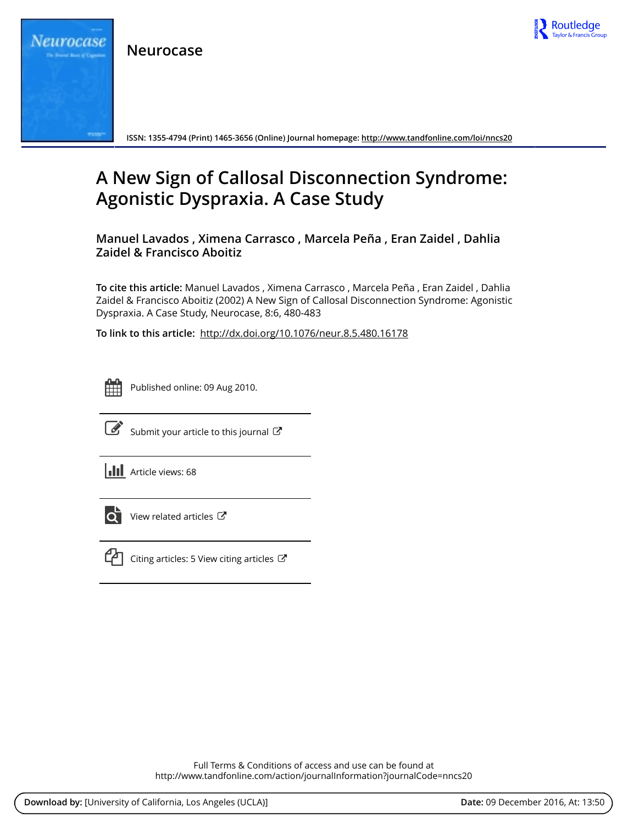

**Neurocase**



**ISSN: 1355-4794 (Print) 1465-3656 (Online) Journal homepage:<http://www.tandfonline.com/loi/nncs20>**

# **A New Sign of Callosal Disconnection Syndrome: Agonistic Dyspraxia. A Case Study**

**Manuel Lavados , Ximena Carrasco , Marcela Peña , Eran Zaidel , Dahlia Zaidel & Francisco Aboitiz**

**To cite this article:** Manuel Lavados , Ximena Carrasco , Marcela Peña , Eran Zaidel , Dahlia Zaidel & Francisco Aboitiz (2002) A New Sign of Callosal Disconnection Syndrome: Agonistic Dyspraxia. A Case Study, Neurocase, 8:6, 480-483

**To link to this article:** <http://dx.doi.org/10.1076/neur.8.5.480.16178>



Published online: 09 Aug 2010.



 $\overline{\mathscr{L}}$  [Submit your article to this journal](http://www.tandfonline.com/action/authorSubmission?journalCode=nncs20&show=instructions)  $\mathbb{Z}$ 

**III** Article views: 68



View related articles



 $\Box$  [Citing articles: 5 View citing articles](http://www.tandfonline.com/doi/citedby/10.1076/neur.8.5.480.16178#tabModule)  $\Box$ 

Full Terms & Conditions of access and use can be found at <http://www.tandfonline.com/action/journalInformation?journalCode=nncs20>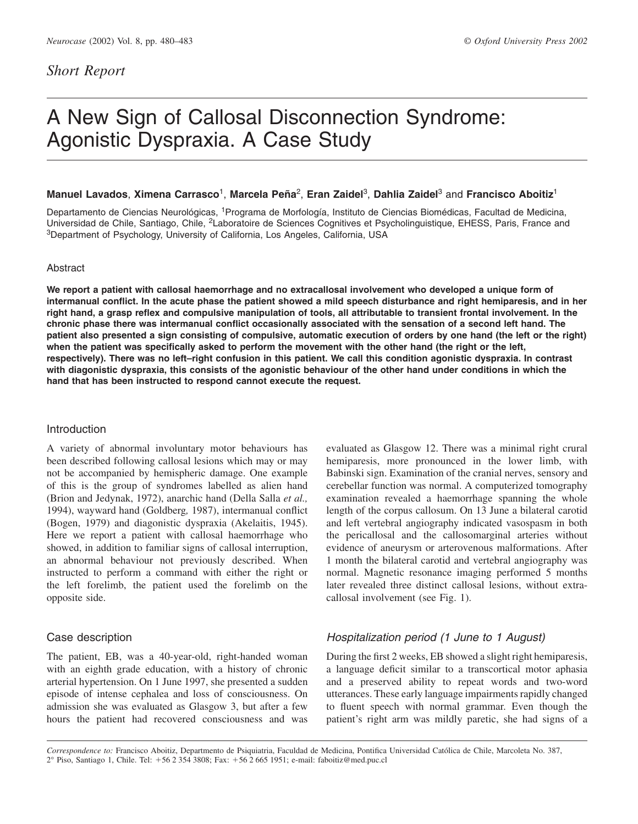# A New Sign of Callosal Disconnection Syndrome: Agonistic Dyspraxia. A Case Study

## **Manuel Lavados**, **Ximena Carrasco**1, **Marcela Pen˜a**2, **Eran Zaidel**3, **Dahlia Zaidel**<sup>3</sup> and **Francisco Aboitiz**<sup>1</sup>

Departamento de Ciencias Neurológicas, <sup>1</sup>Programa de Morfología, Instituto de Ciencias Biomédicas, Facultad de Medicina, Universidad de Chile, Santiago, Chile, <sup>2</sup>Laboratoire de Sciences Cognitives et Psycholinguistique, EHESS, Paris, France and <sup>3</sup>Department of Psychology, University of California, Los Angeles, California, USA

## Abstract

**We report a patient with callosal haemorrhage and no extracallosal involvement who developed a unique form of intermanual conflict. In the acute phase the patient showed a mild speech disturbance and right hemiparesis, and in her right hand, a grasp reflex and compulsive manipulation of tools, all attributable to transient frontal involvement. In the chronic phase there was intermanual conflict occasionally associated with the sensation of a second left hand. The patient also presented a sign consisting of compulsive, automatic execution of orders by one hand (the left or the right) when the patient was specifically asked to perform the movement with the other hand (the right or the left, respectively). There was no left–right confusion in this patient. We call this condition agonistic dyspraxia. In contrast with diagonistic dyspraxia, this consists of the agonistic behaviour of the other hand under conditions in which the hand that has been instructed to respond cannot execute the request.**

## Introduction

A variety of abnormal involuntary motor behaviours has been described following callosal lesions which may or may not be accompanied by hemispheric damage. One example of this is the group of syndromes labelled as alien hand (Brion and Jedynak, 1972), anarchic hand (Della Salla *et al.,* 1994), wayward hand (Goldberg*,* 1987), intermanual conflict (Bogen, 1979) and diagonistic dyspraxia (Akelaitis, 1945). Here we report a patient with callosal haemorrhage who showed, in addition to familiar signs of callosal interruption, an abnormal behaviour not previously described. When instructed to perform a command with either the right or the left forelimb, the patient used the forelimb on the opposite side.

## Case description

The patient, EB, was a 40-year-old, right-handed woman with an eighth grade education, with a history of chronic arterial hypertension. On 1 June 1997, she presented a sudden episode of intense cephalea and loss of consciousness. On admission she was evaluated as Glasgow 3, but after a few hours the patient had recovered consciousness and was evaluated as Glasgow 12. There was a minimal right crural hemiparesis, more pronounced in the lower limb, with Babinski sign. Examination of the cranial nerves, sensory and cerebellar function was normal. A computerized tomography examination revealed a haemorrhage spanning the whole length of the corpus callosum. On 13 June a bilateral carotid and left vertebral angiography indicated vasospasm in both the pericallosal and the callosomarginal arteries without evidence of aneurysm or arterovenous malformations. After 1 month the bilateral carotid and vertebral angiography was normal. Magnetic resonance imaging performed 5 months later revealed three distinct callosal lesions, without extracallosal involvement (see Fig. 1).

## *Hospitalization period (1 June to 1 August)*

During the first 2 weeks, EB showed a slight right hemiparesis, a language deficit similar to a transcortical motor aphasia and a preserved ability to repeat words and two-word utterances. These early language impairments rapidly changed to fluent speech with normal grammar. Even though the patient's right arm was mildly paretic, she had signs of a

*Correspondence to:* Francisco Aboitiz, Departmento de Psiquiatria, Faculdad de Medicina, Pontifica Universidad Cato´lica de Chile, Marcoleta No. 387, 2° Piso, Santiago 1, Chile. Tel: 56 2 354 3808; Fax: 56 2 665 1951; e-mail: faboitiz@med.puc.cl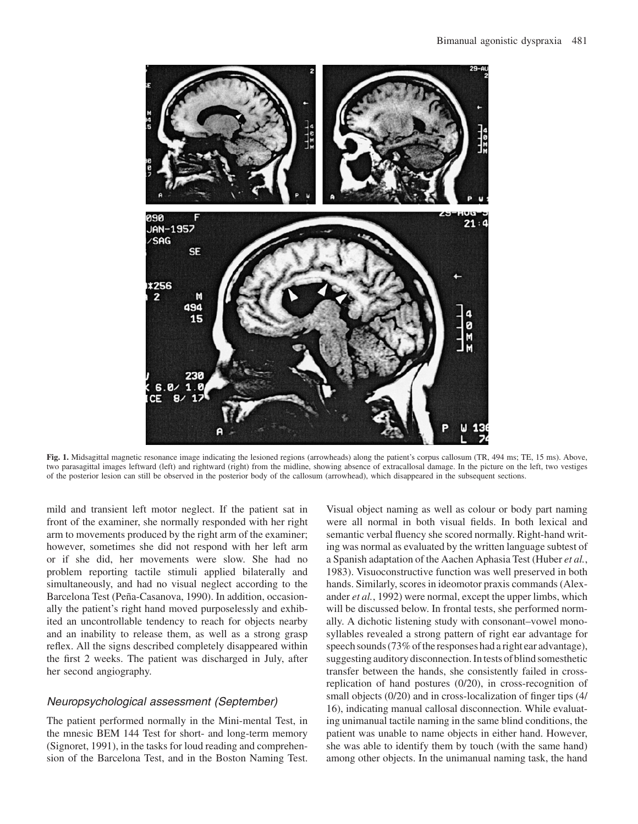

**Fig. 1.** Midsagittal magnetic resonance image indicating the lesioned regions (arrowheads) along the patient's corpus callosum (TR, 494 ms; TE, 15 ms). Above, two parasagittal images leftward (left) and rightward (right) from the midline, showing absence of extracallosal damage. In the picture on the left, two vestiges of the posterior lesion can still be observed in the posterior body of the callosum (arrowhead), which disappeared in the subsequent sections.

mild and transient left motor neglect. If the patient sat in front of the examiner, she normally responded with her right arm to movements produced by the right arm of the examiner; however, sometimes she did not respond with her left arm or if she did, her movements were slow. She had no problem reporting tactile stimuli applied bilaterally and simultaneously, and had no visual neglect according to the Barcelona Test (Peña-Casanova, 1990). In addition, occasionally the patient's right hand moved purposelessly and exhibited an uncontrollable tendency to reach for objects nearby and an inability to release them, as well as a strong grasp reflex. All the signs described completely disappeared within the first 2 weeks. The patient was discharged in July, after her second angiography.

## *Neuropsychological assessment (September)*

The patient performed normally in the Mini-mental Test, in the mnesic BEM 144 Test for short- and long-term memory (Signoret, 1991), in the tasks for loud reading and comprehension of the Barcelona Test, and in the Boston Naming Test.

Visual object naming as well as colour or body part naming were all normal in both visual fields. In both lexical and semantic verbal fluency she scored normally. Right-hand writing was normal as evaluated by the written language subtest of a Spanish adaptation of the Aachen Aphasia Test (Huber *et al.*, 1983). Visuoconstructive function was well preserved in both hands. Similarly, scores in ideomotor praxis commands (Alexander *et al.*, 1992) were normal, except the upper limbs, which will be discussed below. In frontal tests, she performed normally. A dichotic listening study with consonant–vowel monosyllables revealed a strong pattern of right ear advantage for speech sounds (73% of the responses had a right ear advantage), suggesting auditory disconnection. In tests of blind somesthetic transfer between the hands, she consistently failed in crossreplication of hand postures (0/20), in cross-recognition of small objects (0/20) and in cross-localization of finger tips (4/ 16), indicating manual callosal disconnection. While evaluating unimanual tactile naming in the same blind conditions, the patient was unable to name objects in either hand. However, she was able to identify them by touch (with the same hand) among other objects. In the unimanual naming task, the hand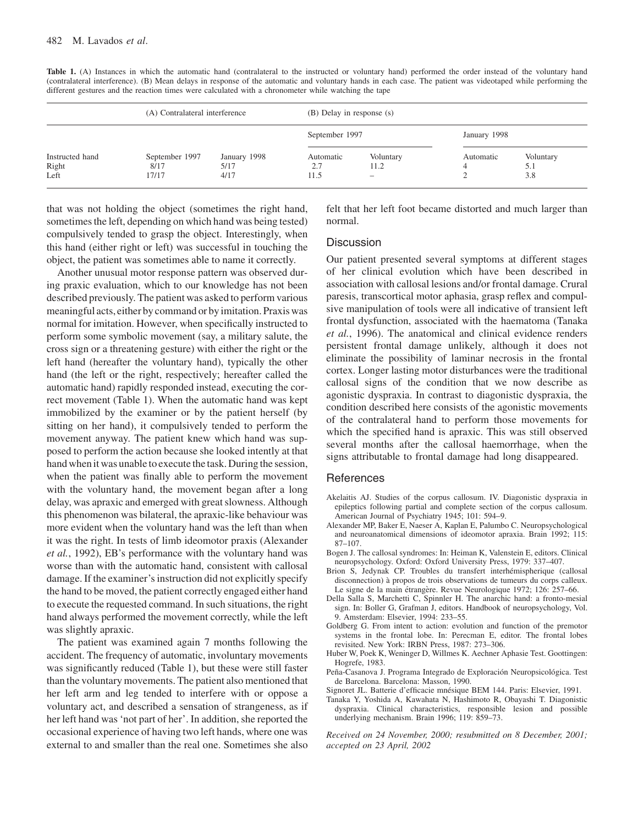| Table 1. (A) Instances in which the automatic hand (contralateral to the instructed or voluntary hand) performed the order instead of the voluntary hand     |  |
|--------------------------------------------------------------------------------------------------------------------------------------------------------------|--|
| (contralateral interference). (B) Mean delays in response of the automatic and voluntary hands in each case. The patient was videotaped while performing the |  |
| different gestures and the reaction times were calculated with a chronometer while watching the tape                                                         |  |

| Instructed hand<br>Right<br>Left | (A) Contralateral interference                                  |                          | (B) Delay in response (s) |           |                         |  |
|----------------------------------|-----------------------------------------------------------------|--------------------------|---------------------------|-----------|-------------------------|--|
|                                  | September 1997<br>January 1998<br>5/17<br>8/17<br>4/17<br>17/17 |                          | September 1997            |           | January 1998            |  |
|                                  |                                                                 | Automatic<br>2.7<br>11.5 | Voluntary<br>11.2<br>-    | Automatic | Voluntary<br>5.1<br>3.8 |  |

that was not holding the object (sometimes the right hand, sometimes the left, depending on which hand was being tested) compulsively tended to grasp the object. Interestingly, when this hand (either right or left) was successful in touching the object, the patient was sometimes able to name it correctly.

Another unusual motor response pattern was observed during praxic evaluation, which to our knowledge has not been described previously. The patient was asked to perform various meaningful acts, either by command or by imitation. Praxis was normal for imitation. However, when specifically instructed to perform some symbolic movement (say, a military salute, the cross sign or a threatening gesture) with either the right or the left hand (hereafter the voluntary hand), typically the other hand (the left or the right, respectively; hereafter called the automatic hand) rapidly responded instead, executing the correct movement (Table 1). When the automatic hand was kept immobilized by the examiner or by the patient herself (by sitting on her hand), it compulsively tended to perform the movement anyway. The patient knew which hand was supposed to perform the action because she looked intently at that hand when it was unable to execute the task. During the session, when the patient was finally able to perform the movement with the voluntary hand, the movement began after a long delay, was apraxic and emerged with great slowness. Although this phenomenon was bilateral, the apraxic-like behaviour was more evident when the voluntary hand was the left than when it was the right. In tests of limb ideomotor praxis (Alexander *et al.*, 1992), EB's performance with the voluntary hand was worse than with the automatic hand, consistent with callosal damage. If the examiner's instruction did not explicitly specify the hand to be moved, the patient correctly engaged either hand to execute the requested command. In such situations, the right hand always performed the movement correctly, while the left was slightly apraxic.

The patient was examined again 7 months following the accident. The frequency of automatic, involuntary movements was significantly reduced (Table 1), but these were still faster than the voluntary movements. The patient also mentioned that her left arm and leg tended to interfere with or oppose a voluntary act, and described a sensation of strangeness, as if her left hand was'not part of her'. In addition, she reported the occasional experience of having two left hands, where one was external to and smaller than the real one. Sometimes she also

felt that her left foot became distorted and much larger than normal.

## **Discussion**

Our patient presented several symptoms at different stages of her clinical evolution which have been described in association with callosal lesions and/or frontal damage. Crural paresis, transcortical motor aphasia, grasp reflex and compulsive manipulation of tools were all indicative of transient left frontal dysfunction, associated with the haematoma (Tanaka *et al.*, 1996). The anatomical and clinical evidence renders persistent frontal damage unlikely, although it does not eliminate the possibility of laminar necrosis in the frontal cortex. Longer lasting motor disturbances were the traditional callosal signs of the condition that we now describe as agonistic dyspraxia. In contrast to diagonistic dyspraxia, the condition described here consists of the agonistic movements of the contralateral hand to perform those movements for which the specified hand is apraxic. This was still observed several months after the callosal haemorrhage, when the signs attributable to frontal damage had long disappeared.

#### References

- Akelaitis AJ. Studies of the corpus callosum. IV. Diagonistic dyspraxia in epileptics following partial and complete section of the corpus callosum. American Journal of Psychiatry 1945; 101: 594–9.
- Alexander MP, Baker E, Naeser A, Kaplan E, Palumbo C. Neuropsychological and neuroanatomical dimensions of ideomotor apraxia. Brain 1992; 115: 87–107.
- Bogen J. The callosal syndromes: In: Heiman K, Valenstein E, editors. Clinical neuropsychology. Oxford: Oxford University Press, 1979: 337–407.
- Brion S, Jedynak CP. Troubles du transfert interhémispherique (callosal disconnection) a` propos de trois observations de tumeurs du corps calleux. Le signe de la main étrangère. Revue Neurologique 1972; 126: 257-66.
- Della Salla S, Marchetti C, Spinnler H. The anarchic hand: a fronto-mesial sign. In: Boller G, Grafman J, editors. Handbook of neuropsychology, Vol. 9. Amsterdam: Elsevier, 1994: 233–55.
- Goldberg G. From intent to action: evolution and function of the premotor systems in the frontal lobe. In: Perecman E, editor. The frontal lobes revisited. New York: IRBN Press, 1987: 273–306.
- Huber W, Poek K, Weninger D, Willmes K. Aechner Aphasie Test. Goottingen: Hogrefe, 1983.
- Peña-Casanova J. Programa Integrado de Exploración Neuropsicológica. Test de Barcelona. Barcelona: Masson, 1990.
- Signoret JL. Batterie d'efficacie mnésique BEM 144. Paris: Elsevier, 1991.
- Tanaka Y, Yoshida A, Kawahata N, Hashimoto R, Obayashi T. Diagonistic dyspraxia. Clinical characteristics, responsible lesion and possible underlying mechanism. Brain 1996; 119: 859–73.

*Received on 24 November, 2000; resubmitted on 8 December, 2001; accepted on 23 April, 2002*